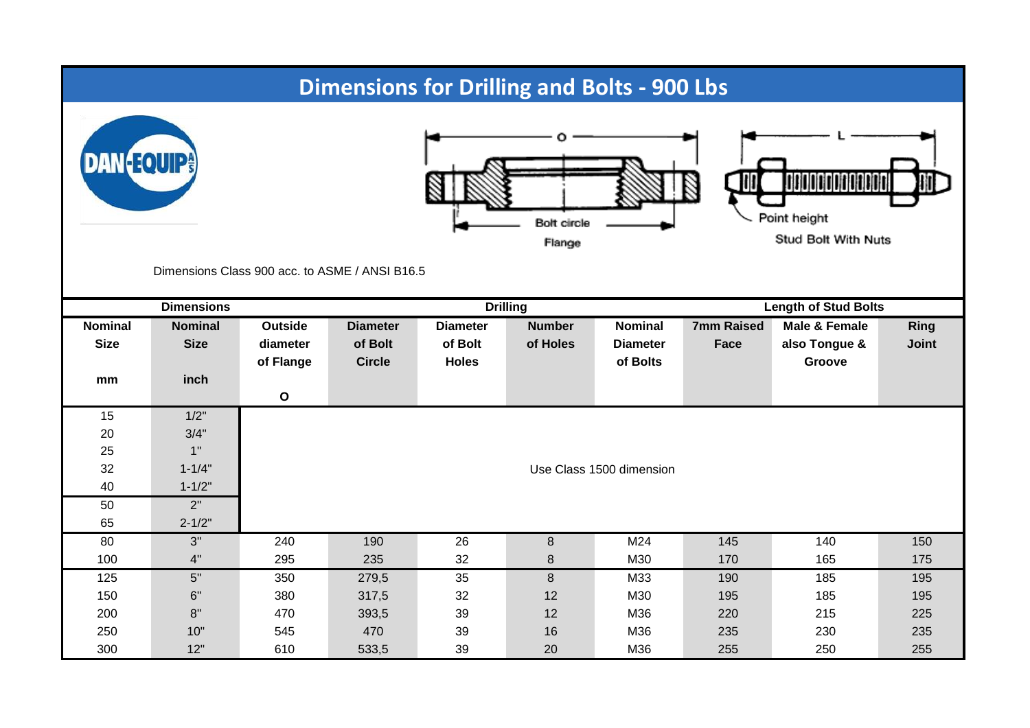## **Dimensions for Drilling and Bolts - 900 Lbs**







Stud Bolt With Nuts

Dimensions Class 900 acc. to ASME / ANSI B16.5

|                               | <b>Dimensions</b>             |                                  | <b>Drilling</b>                             |                                            |                           |                                               | <b>Length of Stud Bolts</b> |                                          |                             |  |
|-------------------------------|-------------------------------|----------------------------------|---------------------------------------------|--------------------------------------------|---------------------------|-----------------------------------------------|-----------------------------|------------------------------------------|-----------------------------|--|
| <b>Nominal</b><br><b>Size</b> | <b>Nominal</b><br><b>Size</b> | Outside<br>diameter<br>of Flange | <b>Diameter</b><br>of Bolt<br><b>Circle</b> | <b>Diameter</b><br>of Bolt<br><b>Holes</b> | <b>Number</b><br>of Holes | <b>Nominal</b><br><b>Diameter</b><br>of Bolts | <b>7mm Raised</b><br>Face   | Male & Female<br>also Tongue &<br>Groove | <b>Ring</b><br><b>Joint</b> |  |
| mm                            | inch                          | $\mathbf{o}$                     |                                             |                                            |                           |                                               |                             |                                          |                             |  |
| 15                            | 1/2"                          |                                  |                                             |                                            |                           |                                               |                             |                                          |                             |  |
| 20                            | 3/4"                          |                                  |                                             |                                            |                           |                                               |                             |                                          |                             |  |
| 25                            | 1"                            |                                  |                                             |                                            |                           |                                               |                             |                                          |                             |  |
| 32                            | $1 - 1/4"$                    | Use Class 1500 dimension         |                                             |                                            |                           |                                               |                             |                                          |                             |  |
| 40                            | $1 - 1/2"$                    |                                  |                                             |                                            |                           |                                               |                             |                                          |                             |  |
| 50                            | 2"                            |                                  |                                             |                                            |                           |                                               |                             |                                          |                             |  |
| 65                            | $2 - 1/2"$                    |                                  |                                             |                                            |                           |                                               |                             |                                          |                             |  |
| 80                            | 3"                            | 240                              | 190                                         | 26                                         | 8                         | M24                                           | 145                         | 140                                      | 150                         |  |
| 100                           | 4"                            | 295                              | 235                                         | 32                                         | 8                         | M30                                           | 170                         | 165                                      | 175                         |  |
| 125                           | 5"                            | 350                              | 279,5                                       | 35                                         | $\boldsymbol{8}$          | M33                                           | 190                         | 185                                      | 195                         |  |
| 150                           | 6"                            | 380                              | 317,5                                       | 32                                         | 12                        | M30                                           | 195                         | 185                                      | 195                         |  |
| 200                           | 8"                            | 470                              | 393,5                                       | 39                                         | 12                        | M36                                           | 220                         | 215                                      | 225                         |  |
| 250                           | 10"                           | 545                              | 470                                         | 39                                         | 16                        | M36                                           | 235                         | 230                                      | 235                         |  |
| 300                           | 12"                           | 610                              | 533,5                                       | 39                                         | 20                        | M36                                           | 255                         | 250                                      | 255                         |  |